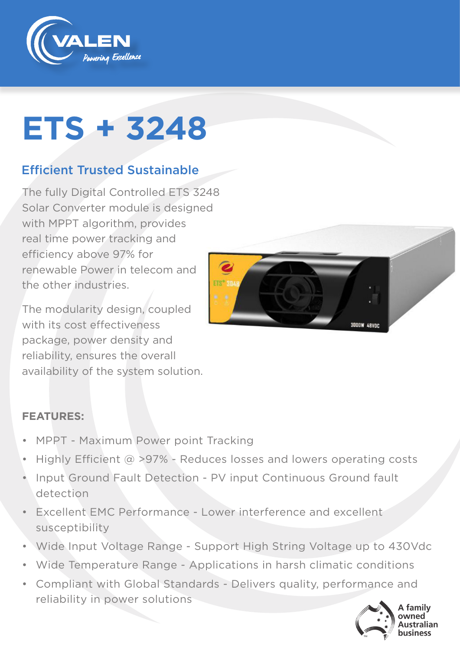

# **ETS + 3248**

### Efficient Trusted Sustainable

The fully Digital Controlled ETS 3248 Solar Converter module is designed with MPPT algorithm, provides real time power tracking and efficiency above 97% for renewable Power in telecom and the other industries.

The modularity design, coupled with its cost effectiveness package, power density and reliability, ensures the overall availability of the system solution.



#### **FEATURES:**

- MPPT Maximum Power point Tracking
- Highly Efficient  $\omega > 97\%$  Reduces losses and lowers operating costs
- Input Ground Fault Detection PV input Continuous Ground fault detection
- Excellent EMC Performance Lower interference and excellent susceptibility
- Wide Input Voltage Range Support High String Voltage up to 430Vdc
- Wide Temperature Range Applications in harsh climatic conditions
- Compliant with Global Standards Delivers quality, performance and reliability in power solutions